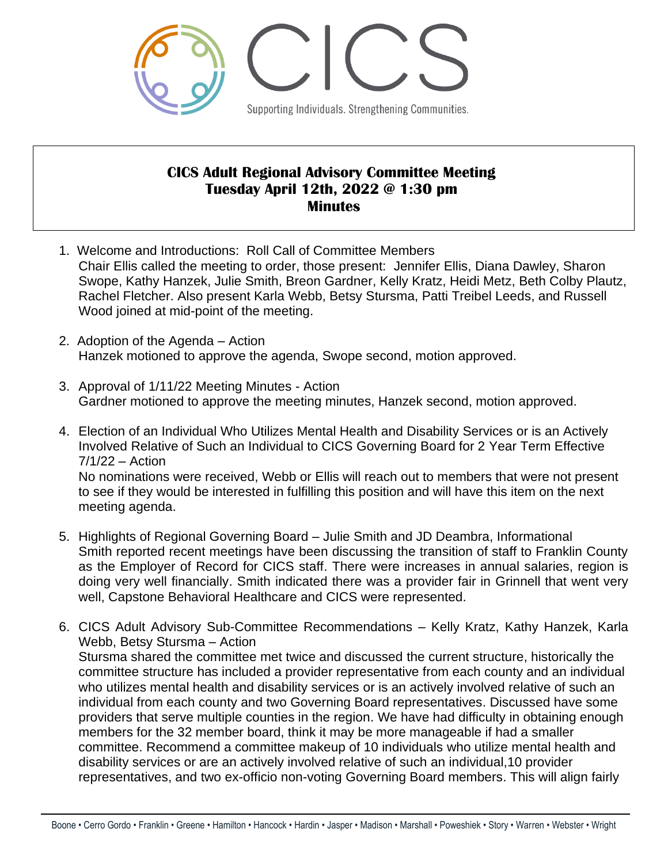

## **CICS Adult Regional Advisory Committee Meeting Tuesday April 12th, 2022 @ 1:30 pm Minutes**

- 1. Welcome and Introductions: Roll Call of Committee Members Chair Ellis called the meeting to order, those present: Jennifer Ellis, Diana Dawley, Sharon Swope, Kathy Hanzek, Julie Smith, Breon Gardner, Kelly Kratz, Heidi Metz, Beth Colby Plautz, Rachel Fletcher. Also present Karla Webb, Betsy Stursma, Patti Treibel Leeds, and Russell Wood joined at mid-point of the meeting.
- 2. Adoption of the Agenda Action Hanzek motioned to approve the agenda, Swope second, motion approved.
- 3. Approval of 1/11/22 Meeting Minutes Action Gardner motioned to approve the meeting minutes, Hanzek second, motion approved.
- 4. Election of an Individual Who Utilizes Mental Health and Disability Services or is an Actively Involved Relative of Such an Individual to CICS Governing Board for 2 Year Term Effective 7/1/22 – Action No nominations were received, Webb or Ellis will reach out to members that were not present to see if they would be interested in fulfilling this position and will have this item on the next meeting agenda.
- 5. Highlights of Regional Governing Board Julie Smith and JD Deambra, Informational Smith reported recent meetings have been discussing the transition of staff to Franklin County as the Employer of Record for CICS staff. There were increases in annual salaries, region is doing very well financially. Smith indicated there was a provider fair in Grinnell that went very well, Capstone Behavioral Healthcare and CICS were represented.
- 6. CICS Adult Advisory Sub-Committee Recommendations Kelly Kratz, Kathy Hanzek, Karla Webb, Betsy Stursma – Action Stursma shared the committee met twice and discussed the current structure, historically the committee structure has included a provider representative from each county and an individual who utilizes mental health and disability services or is an actively involved relative of such an individual from each county and two Governing Board representatives. Discussed have some providers that serve multiple counties in the region. We have had difficulty in obtaining enough members for the 32 member board, think it may be more manageable if had a smaller committee. Recommend a committee makeup of 10 individuals who utilize mental health and disability services or are an actively involved relative of such an individual,10 provider representatives, and two ex-officio non-voting Governing Board members. This will align fairly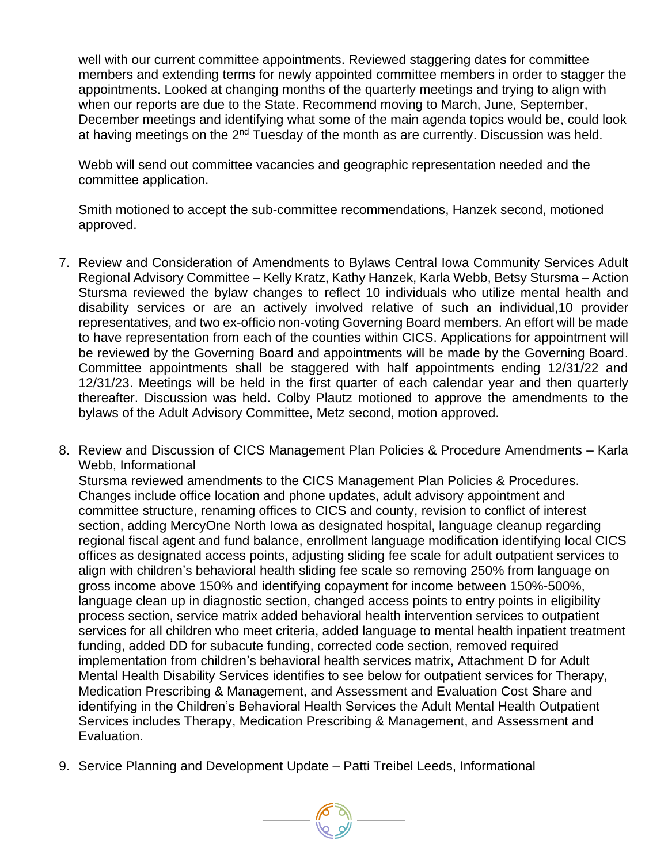well with our current committee appointments. Reviewed staggering dates for committee members and extending terms for newly appointed committee members in order to stagger the appointments. Looked at changing months of the quarterly meetings and trying to align with when our reports are due to the State. Recommend moving to March, June, September, December meetings and identifying what some of the main agenda topics would be, could look at having meetings on the  $2<sup>nd</sup>$  Tuesday of the month as are currently. Discussion was held.

Webb will send out committee vacancies and geographic representation needed and the committee application.

Smith motioned to accept the sub-committee recommendations, Hanzek second, motioned approved.

- 7. Review and Consideration of Amendments to Bylaws Central Iowa Community Services Adult Regional Advisory Committee – Kelly Kratz, Kathy Hanzek, Karla Webb, Betsy Stursma – Action Stursma reviewed the bylaw changes to reflect 10 individuals who utilize mental health and disability services or are an actively involved relative of such an individual,10 provider representatives, and two ex-officio non-voting Governing Board members. An effort will be made to have representation from each of the counties within CICS. Applications for appointment will be reviewed by the Governing Board and appointments will be made by the Governing Board. Committee appointments shall be staggered with half appointments ending 12/31/22 and 12/31/23. Meetings will be held in the first quarter of each calendar year and then quarterly thereafter. Discussion was held. Colby Plautz motioned to approve the amendments to the bylaws of the Adult Advisory Committee, Metz second, motion approved.
- 8. Review and Discussion of CICS Management Plan Policies & Procedure Amendments Karla Webb, Informational Stursma reviewed amendments to the CICS Management Plan Policies & Procedures. Changes include office location and phone updates, adult advisory appointment and committee structure, renaming offices to CICS and county, revision to conflict of interest section, adding MercyOne North Iowa as designated hospital, language cleanup regarding regional fiscal agent and fund balance, enrollment language modification identifying local CICS offices as designated access points, adjusting sliding fee scale for adult outpatient services to align with children's behavioral health sliding fee scale so removing 250% from language on gross income above 150% and identifying copayment for income between 150%-500%, language clean up in diagnostic section, changed access points to entry points in eligibility process section, service matrix added behavioral health intervention services to outpatient services for all children who meet criteria, added language to mental health inpatient treatment funding, added DD for subacute funding, corrected code section, removed required implementation from children's behavioral health services matrix, Attachment D for Adult Mental Health Disability Services identifies to see below for outpatient services for Therapy, Medication Prescribing & Management, and Assessment and Evaluation Cost Share and identifying in the Children's Behavioral Health Services the Adult Mental Health Outpatient Services includes Therapy, Medication Prescribing & Management, and Assessment and Evaluation.
- 9. Service Planning and Development Update Patti Treibel Leeds, Informational